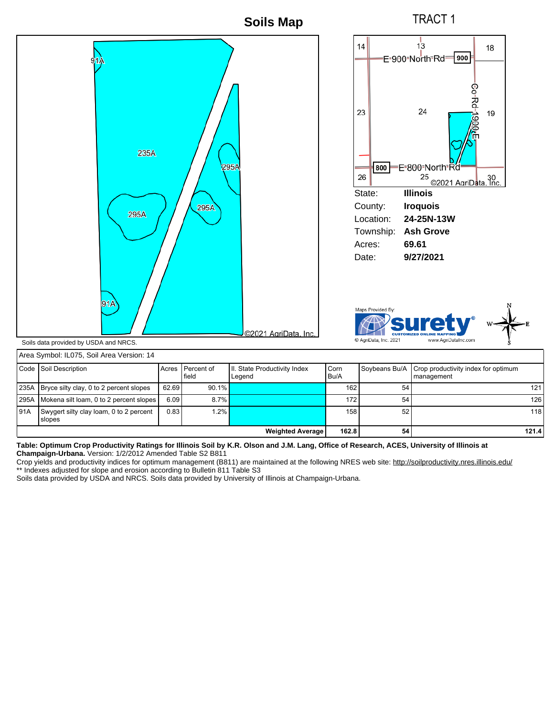

|      | Code Soil Description                             |       | Acres IPercent of<br>field       | II. State Productivity Index<br>Legend | <b>Corn</b><br>l Bu/A |    | Soybeans Bu/A Crop productivity index for optimum<br>l manaɑement |
|------|---------------------------------------------------|-------|----------------------------------|----------------------------------------|-----------------------|----|-------------------------------------------------------------------|
|      | [235A Bryce silty clay, 0 to 2 percent slopes]    | 62.69 | $90.1\%$                         |                                        | 162                   | 54 | 121                                                               |
|      | [295A   Mokena silt loam, 0 to 2 percent slopes]  | 6.09  | 8.7%                             |                                        | 172                   | 54 | 126                                                               |
| 191A | Swygert silty clay loam, 0 to 2 percent<br>slopes | 0.83  | $1.2\%$                          |                                        | 158 <sub>1</sub>      | 52 | 118                                                               |
|      |                                                   |       | 162.8<br><b>Weighted Average</b> | 54                                     | 121.4                 |    |                                                                   |

**Table: Optimum Crop Productivity Ratings for Illinois Soil by K.R. Olson and J.M. Lang, Office of Research, ACES, University of Illinois at Champaign-Urbana.** Version: 1/2/2012 Amended Table S2 B811

Crop yields and productivity indices for optimum management (B811) are maintained at the following NRES web site: http://soilproductivity.nres.illinois.edu/ \*\* Indexes adjusted for slope and erosion according to Bulletin 811 Table S3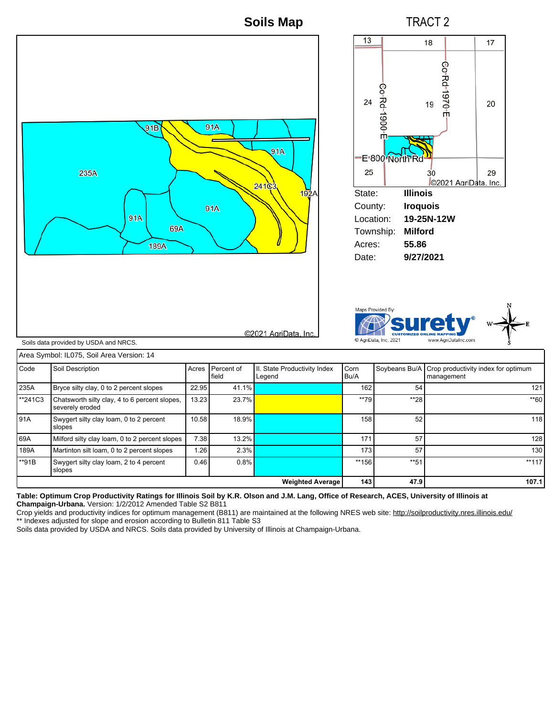**Soils Map**

TRACT 2



Soils data provided by USDA and NRCS.



Maps Provided By C AgriData, Inc. 2021 www.AgriDataInc.com

@2021 AgriData, Inc.

|                         | Area Symbol: IL075, Soil Area Version: 14                        |       |                     |                                        |                  |             |                                                                 |
|-------------------------|------------------------------------------------------------------|-------|---------------------|----------------------------------------|------------------|-------------|-----------------------------------------------------------------|
| Code                    | Soil Description                                                 | Acres | Percent of<br>field | II. State Productivity Index<br>Legend | Corn<br>l Bu/A   |             | Soybeans Bu/A Crop productivity index for optimum<br>management |
| 235A                    | Bryce silty clay, 0 to 2 percent slopes                          | 22.95 | 41.1%               |                                        | 162              | 54          | 121                                                             |
| <sup>**</sup> 241C3     | Chatsworth silty clay, 4 to 6 percent slopes,<br>severely eroded | 13.23 | 23.7%               |                                        | **79             | **28        | $*$ 60                                                          |
| 91A                     | Swygert silty clay loam, 0 to 2 percent<br>slopes                | 10.58 | 18.9%               |                                        | 158              | 52          | 118                                                             |
| 69A                     | Milford silty clay loam, 0 to 2 percent slopes                   | 7.38  | 13.2%               |                                        | 171              | 57          | 128                                                             |
| 189A                    | Martinton silt loam, 0 to 2 percent slopes                       | . 26  | 2.3%                |                                        | 173 <sub>1</sub> | 57          | 130                                                             |
| <sup>**91B</sup>        | Swygert silty clay loam, 2 to 4 percent<br>slopes                | 0.46  | 0.8%                |                                        | **156            | $** 51$     | $**117$                                                         |
| <b>Weighted Average</b> |                                                                  |       |                     |                                        |                  | 47.9<br>143 | 107.1                                                           |

**Table: Optimum Crop Productivity Ratings for Illinois Soil by K.R. Olson and J.M. Lang, Office of Research, ACES, University of Illinois at Champaign-Urbana.** Version: 1/2/2012 Amended Table S2 B811

Crop yields and productivity indices for optimum management (B811) are maintained at the following NRES web site: http://soilproductivity.nres.illinois.edu/ \*\* Indexes adjusted for slope and erosion according to Bulletin 811 Table S3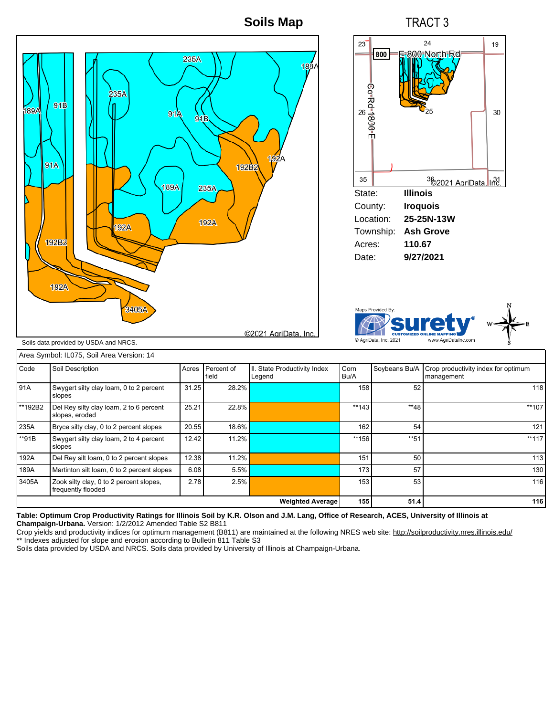## **Soils Map**

TRACT 3







Soils data provided by USDA and NRCS.

| Area Symbol: IL075, Soil Area Version: 14 |                                                               |       |                     |                                        |              |               |                                                   |  |
|-------------------------------------------|---------------------------------------------------------------|-------|---------------------|----------------------------------------|--------------|---------------|---------------------------------------------------|--|
| Code                                      | Soil Description                                              | Acres | Percent of<br>field | II. State Productivity Index<br>Legend | Corn<br>Bu/A | Soybeans Bu/A | Crop productivity index for optimum<br>management |  |
| 91A                                       | Swygert silty clay loam, 0 to 2 percent<br>slopes             | 31.25 | 28.2%               |                                        | 158          | 52            | 118                                               |  |
| **192B2                                   | Del Rey silty clay loam, 2 to 6 percent<br>slopes, eroded     | 25.21 | 22.8%               |                                        | $**143$      | $**48$        | **107                                             |  |
| 235A                                      | Bryce silty clay, 0 to 2 percent slopes                       | 20.55 | $18.6\%$            |                                        | 162          | 54            | 121                                               |  |
| $**91B$                                   | Swygert silty clay loam, 2 to 4 percent<br>slopes             | 12.42 | $11.2\%$            |                                        | **156        | $** 51$       | $**117$                                           |  |
| 192A                                      | Del Rey silt loam, 0 to 2 percent slopes                      | 12.38 | 11.2%               |                                        | 151          | 50            | 113                                               |  |
| 189A                                      | Martinton silt loam, 0 to 2 percent slopes                    | 6.08  | 5.5%                |                                        | 173          | 57            | 130                                               |  |
| 3405A                                     | Zook silty clay, 0 to 2 percent slopes,<br>frequently flooded | 2.78  | 2.5%                |                                        | 153          | 53            | 116                                               |  |
|                                           | <b>Weighted Average</b>                                       |       |                     |                                        |              |               | 116<br>51.4                                       |  |

**Table: Optimum Crop Productivity Ratings for Illinois Soil by K.R. Olson and J.M. Lang, Office of Research, ACES, University of Illinois at Champaign-Urbana.** Version: 1/2/2012 Amended Table S2 B811

Crop yields and productivity indices for optimum management (B811) are maintained at the following NRES web site: http://soilproductivity.nres.illinois.edu/ \*\* Indexes adjusted for slope and erosion according to Bulletin 811 Table S3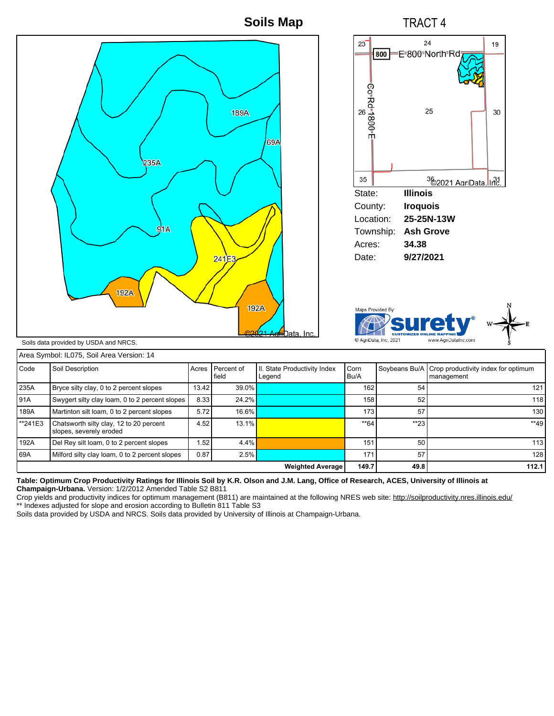

69A Milford silty clay loam, 0 to 2 percent slopes 0.87 2.5% 125 171 57 57 **Weighted Average 149.7 49.8 112.1**

**Table: Optimum Crop Productivity Ratings for Illinois Soil by K.R. Olson and J.M. Lang, Office of Research, ACES, University of Illinois at Champaign-Urbana.** Version: 1/2/2012 Amended Table S2 B811

Crop yields and productivity indices for optimum management (B811) are maintained at the following NRES web site: http://soilproductivity.nres.illinois.edu/ \*\* Indexes adjusted for slope and erosion according to Bulletin 811 Table S3